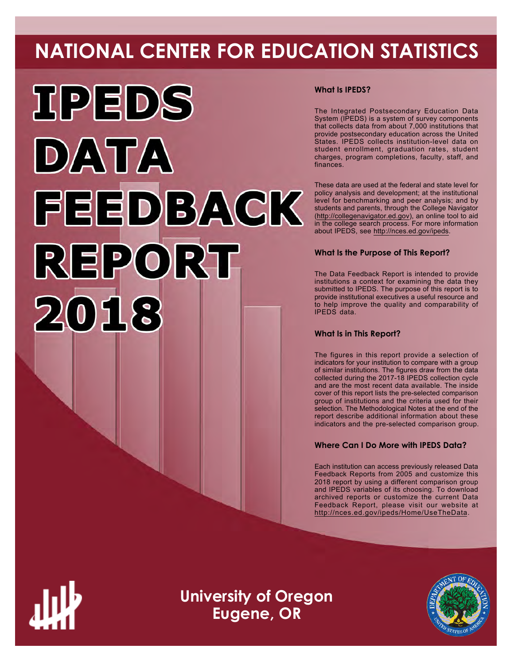# **NATIONAL CENTER FOR EDUCATION STATISTICS**



# **What Is IPEDS?**

The Integrated Postsecondary Education Data System (IPEDS) is a system of survey components that collects data from about 7,000 institutions that provide postsecondary education across the United States. IPEDS collects institution-level data on student enrollment, graduation rates, student charges, program completions, faculty, staff, and finances.

These data are used at the federal and state level for policy analysis and development; at the institutional level for benchmarking and peer analysis; and by students and parents, through the College Navigator ([http://collegenavigator.ed.gov\)](http://collegenavigator.ed.gov), an online tool to aid in the college search process. For more information about IPEDS, see [http://nces.ed.gov/ipeds.](http://nces.ed.gov/ipeds)

# **What Is the Purpose of This Report?**

The Data Feedback Report is intended to provide institutions a context for examining the data they submitted to IPEDS. The purpose of this report is to provide institutional executives a useful resource and to help improve the quality and comparability of IPEDS data.

# **What Is in This Report?**

The figures in this report provide a selection of indicators for your institution to compare with a group of similar institutions. The figures draw from the data collected during the 2017-18 IPEDS collection cycle and are the most recent data available. The inside cover of this report lists the pre-selected comparison group of institutions and the criteria used for their selection. The Methodological Notes at the end of the report describe additional information about these indicators and the pre-selected comparison group.

# **Where Can I Do More with IPEDS Data?**

Each institution can access previously released Data Feedback Reports from 2005 and customize this 2018 report by using a different comparison group and IPEDS variables of its choosing. To download archived reports or customize the current Data Feedback Report, please visit our website at <http://nces.ed.gov/ipeds/Home/UseTheData>.



**University of Oregon Eugene, OR**

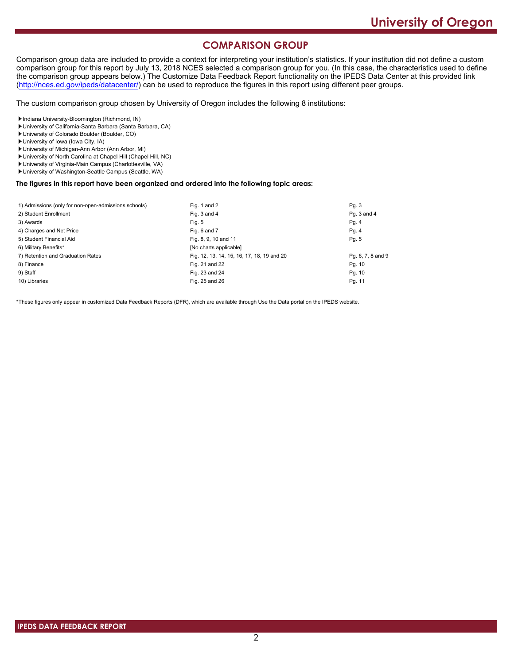# **COMPARISON GROUP**

Comparison group data are included to provide a context for interpreting your institution's statistics. If your institution did not define a custom comparison group for this report by July 13, 2018 NCES selected a comparison group for you. (In this case, the characteristics used to define the comparison group appears below.) The Customize Data Feedback Report functionality on the IPEDS Data Center at this provided link [\(http://nces.ed.gov/ipeds/datacenter/\)](http://nces.ed.gov/ipeds/datacenter/) can be used to reproduce the figures in this report using different peer groups.

The custom comparison group chosen by University of Oregon includes the following 8 institutions:

Indiana University-Bloomington (Richmond, IN)

- University of California-Santa Barbara (Santa Barbara, CA)
- University of Colorado Boulder (Boulder, CO)
- University of Iowa (Iowa City, IA)
- University of Michigan-Ann Arbor (Ann Arbor, MI)
- University of North Carolina at Chapel Hill (Chapel Hill, NC)
- University of Virginia-Main Campus (Charlottesville, VA)
- University of Washington-Seattle Campus (Seattle, WA)

# **The figures in this report have been organized and ordered into the following topic areas:**

| 1) Admissions (only for non-open-admissions schools) | Fig. 1 and 2                               | Pg.3              |
|------------------------------------------------------|--------------------------------------------|-------------------|
| 2) Student Enrollment                                | Fig. 3 and 4                               | Pq. 3 and 4       |
| 3) Awards                                            | Fig. 5                                     | Pg. 4             |
| 4) Charges and Net Price                             | Fig. 6 and 7                               | Pg.4              |
| 5) Student Financial Aid                             | Fig. 8, 9, 10 and 11                       | Pg. 5             |
| 6) Military Benefits*                                | [No charts applicable]                     |                   |
| 7) Retention and Graduation Rates                    | Fig. 12, 13, 14, 15, 16, 17, 18, 19 and 20 | Pg. 6, 7, 8 and 9 |
| 8) Finance                                           | Fig. 21 and 22                             | Pg. 10            |
| 9) Staff                                             | Fig. 23 and 24                             | Pg. 10            |
| 10) Libraries                                        | Fig. 25 and 26                             | Pg. 11            |

\*These figures only appear in customized Data Feedback Reports (DFR), which are available through Use the Data portal on the IPEDS website.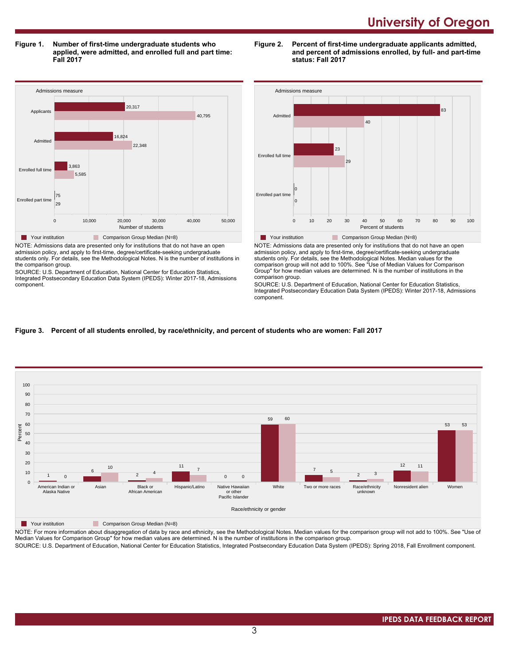**Figure 1. Number of first-time undergraduate students who applied, were admitted, and enrolled full and part time: Fall 2017**

**Figure 2. Percent of first-time undergraduate applicants admitted, and percent of admissions enrolled, by full- and part-time status: Fall 2017**



admission policy, and apply to first-time, degree/certificate-seeking undergraduate students only. For details, see the Methodological Notes. N is the number of institutions in the comparison group.

SOURCE: U.S. Department of Education, National Center for Education Statistics, Integrated Postsecondary Education Data System (IPEDS): Winter 2017-18, Admissions component.



NOTE: Admissions data are presented only for institutions that do not have an open admission policy, and apply to first-time, degree/certificate-seeking undergraduate students only. For details, see the Methodological Notes. Median values for the comparison group will not add to 100%. See "Use of Median Values for Comparison Group" for how median values are determined. N is the number of institutions in the comparison group.

SOURCE: U.S. Department of Education, National Center for Education Statistics, Integrated Postsecondary Education Data System (IPEDS): Winter 2017-18, Admissions component.

## **Figure 3. Percent of all students enrolled, by race/ethnicity, and percent of students who are women: Fall 2017**



#### **The Your institution** Comparison Group Median (N=8)

NOTE: For more information about disaggregation of data by race and ethnicity, see the Methodological Notes. Median values for the comparison group will not add to 100%. See "Use of Median Values for Comparison Group" for how median values are determined. N is the number of institutions in the comparison group.

SOURCE: U.S. Department of Education, National Center for Education Statistics, Integrated Postsecondary Education Data System (IPEDS): Spring 2018, Fall Enrollment component.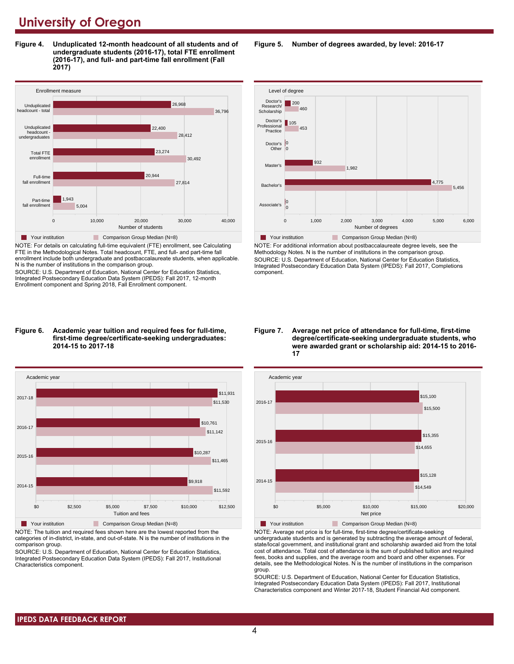**Figure 4. Unduplicated 12-month headcount of all students and of undergraduate students (2016-17), total FTE enrollment (2016-17), and full- and part-time fall enrollment (Fall 2017)**



NOTE: For details on calculating full-time equivalent (FTE) enrollment, see Calculating FTE in the Methodological Notes. Total headcount, FTE, and full- and part-time fall enrollment include both undergraduate and postbaccalaureate students, when applicable. N is the number of institutions in the comparison group.

SOURCE: U.S. Department of Education, National Center for Education Statistics, Integrated Postsecondary Education Data System (IPEDS): Fall 2017, 12-month Enrollment component and Spring 2018, Fall Enrollment component.

#### **Figure 6. Academic year tuition and required fees for full-time, first-time degree/certificate-seeking undergraduates: 2014-15 to 2017-18**



NOTE: The tuition and required fees shown here are the lowest reported from the categories of in-district, in-state, and out-of-state. N is the number of institutions in the comparison group.

SOURCE: U.S. Department of Education, National Center for Education Statistics, Integrated Postsecondary Education Data System (IPEDS): Fall 2017, Institutional Characteristics component.

**Figure 5. Number of degrees awarded, by level: 2016-17**



NOTE: For additional information about postbaccalaureate degree levels, see the Methodology Notes. N is the number of institutions in the comparison group. SOURCE: U.S. Department of Education, National Center for Education Statistics, Integrated Postsecondary Education Data System (IPEDS): Fall 2017, Completions component.

#### **Figure 7. Average net price of attendance for full-time, first-time degree/certificate-seeking undergraduate students, who were awarded grant or scholarship aid: 2014-15 to 2016- 17**



NOTE: Average net price is for full-time, first-time degree/certificate-seeking undergraduate students and is generated by subtracting the average amount of federal, state/local government, and institutional grant and scholarship awarded aid from the total cost of attendance. Total cost of attendance is the sum of published tuition and required fees, books and supplies, and the average room and board and other expenses. For details, see the Methodological Notes. N is the number of institutions in the comparison group.

SOURCE: U.S. Department of Education, National Center for Education Statistics, Integrated Postsecondary Education Data System (IPEDS): Fall 2017, Institutional Characteristics component and Winter 2017-18, Student Financial Aid component.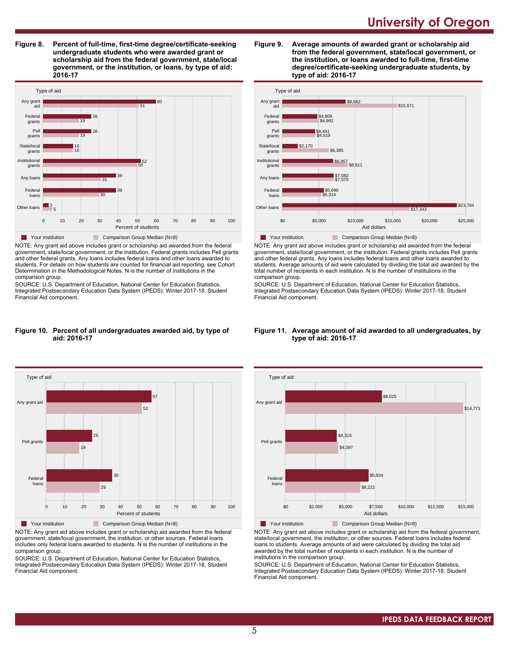**Figure 8. Percent of full-time, first-time degree/certificate-seeking undergraduate students who were awarded grant or scholarship aid from the federal government, state/local government, or the institution, or loans, by type of aid: 2016-17**



NOTE: Any grant aid above includes grant or scholarship aid awarded from the federal government, state/local government, or the institution. Federal grants includes Pell grants and other federal grants. Any loans includes federal loans and other loans awarded to students. For details on how students are counted for financial aid reporting, see Cohort Determination in the Methodological Notes. N is the number of institutions in the comparison group.

SOURCE: U.S. Department of Education, National Center for Education Statistics, Integrated Postsecondary Education Data System (IPEDS): Winter 2017-18, Student Financial Aid component.

#### **Figure 10. Percent of all undergraduates awarded aid, by type of aid: 2016-17**



NOTE: Any grant aid above includes grant or scholarship aid awarded from the federal government, state/local government, the institution, or other sources. Federal loans includes only federal loans awarded to students. N is the number of institutions in the comparison group.

SOURCE: U.S. Department of Education, National Center for Education Statistics, Integrated Postsecondary Education Data System (IPEDS): Winter 2017-18, Student Financial Aid component.





NOTE: Any grant aid above includes grant or scholarship aid awarded from the federal government, state/local government, or the institution. Federal grants includes Pell grants and other federal grants. Any loans includes federal loans and other loans awarded to students. Average amounts of aid were calculated by dividing the total aid awarded by the total number of recipients in each institution. N is the number of institutions in the comparison group.

SOURCE: U.S. Department of Education, National Center for Education Statistics, Integrated Postsecondary Education Data System (IPEDS): Winter 2017-18, Student Financial Aid component.





NOTE: Any grant aid above includes grant or scholarship aid from the federal government, state/local government, the institution, or other sources. Federal loans includes federal loans to students. Average amounts of aid were calculated by dividing the total aid awarded by the total number of recipients in each institution. N is the number of institutions in the comparison group.

SOURCE: U.S. Department of Education, National Center for Education Statistics, Integrated Postsecondary Education Data System (IPEDS): Winter 2017-18, Student Financial Aid component.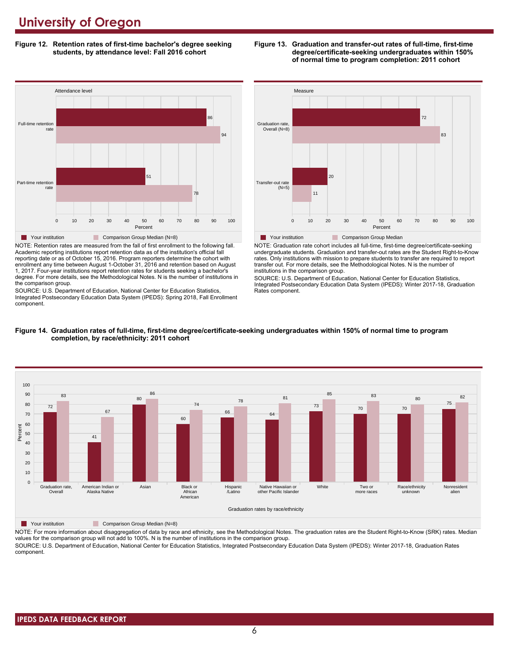**Figure 12. Retention rates of first-time bachelor's degree seeking students, by attendance level: Fall 2016 cohort**



NOTE: Retention rates are measured from the fall of first enrollment to the following fall. Academic reporting institutions report retention data as of the institution's official fall reporting date or as of October 15, 2016. Program reporters determine the cohort with enrollment any time between August 1-October 31, 2016 and retention based on August 1, 2017. Four-year institutions report retention rates for students seeking a bachelor's degree. For more details, see the Methodological Notes. N is the number of institutions in the comparison group.

SOURCE: U.S. Department of Education, National Center for Education Statistics, Integrated Postsecondary Education Data System (IPEDS): Spring 2018, Fall Enrollment component.



**Figure 13. Graduation and transfer-out rates of full-time, first-time**

**degree/certificate-seeking undergraduates within 150% of normal time to program completion: 2011 cohort**

**Table Your institution Comparison Group Median** 

NOTE: Graduation rate cohort includes all full-time, first-time degree/certificate-seeking undergraduate students. Graduation and transfer-out rates are the Student Right-to-Know rates. Only institutions with mission to prepare students to transfer are required to report transfer out. For more details, see the Methodological Notes. N is the number of institutions in the comparison group.

0 10 20 30 40 50 60 70 80 90 100 Percent

SOURCE: U.S. Department of Education, National Center for Education Statistics, Integrated Postsecondary Education Data System (IPEDS): Winter 2017-18, Graduation Rates component.





**The Your institution Comparison Group Median (N=8)** 

NOTE: For more information about disaggregation of data by race and ethnicity, see the Methodological Notes. The graduation rates are the Student Right-to-Know (SRK) rates. Median values for the comparison group will not add to 100%. N is the number of institutions in the comparison group. SOURCE: U.S. Department of Education, National Center for Education Statistics, Integrated Postsecondary Education Data System (IPEDS): Winter 2017-18, Graduation Rates

component.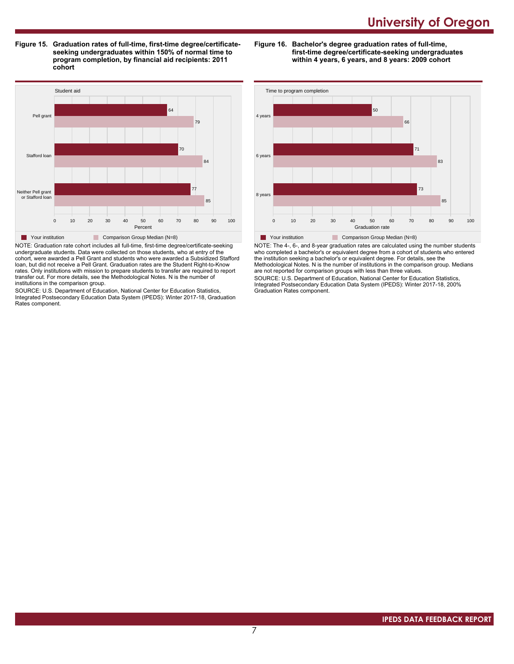**Figure 15. Graduation rates of full-time, first-time degree/certificateseeking undergraduates within 150% of normal time to program completion, by financial aid recipients: 2011 cohort**

**Figure 16. Bachelor's degree graduation rates of full-time, first-time degree/certificate-seeking undergraduates within 4 years, 6 years, and 8 years: 2009 cohort**



NOTE: Graduation rate cohort includes all full-time, first-time degree/certificate-seeking undergraduate students. Data were collected on those students, who at entry of the cohort, were awarded a Pell Grant and students who were awarded a Subsidized Stafford loan, but did not receive a Pell Grant. Graduation rates are the Student Right-to-Know rates. Only institutions with mission to prepare students to transfer are required to report transfer out. For more details, see the Methodological Notes. N is the number of institutions in the comparison group.

SOURCE: U.S. Department of Education, National Center for Education Statistics, Integrated Postsecondary Education Data System (IPEDS): Winter 2017-18, Graduation Rates component.



NOTE: The 4-, 6-, and 8-year graduation rates are calculated using the number students who completed a bachelor's or equivalent degree from a cohort of students who entered the institution seeking a bachelor's or equivalent degree. For details, see the Methodological Notes. N is the number of institutions in the comparison group. Medians are not reported for comparison groups with less than three values.

SOURCE: U.S. Department of Education, National Center for Education Statistics, Integrated Postsecondary Education Data System (IPEDS): Winter 2017-18, 200% Graduation Rates component.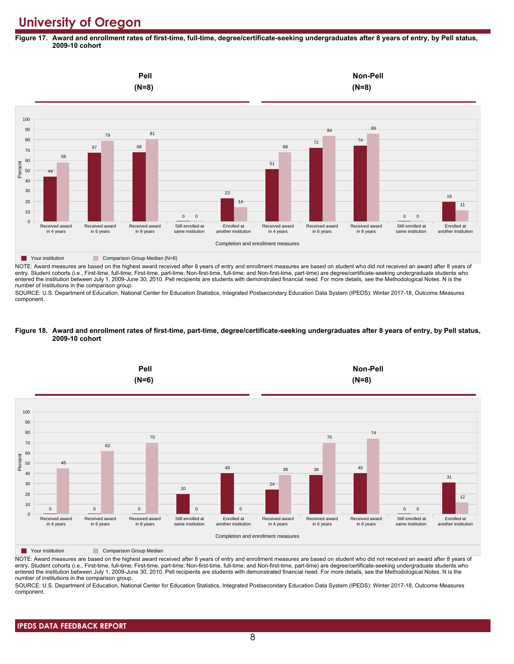**Figure 17. Award and enrollment rates of first-time, full-time, degree/certificate-seeking undergraduates after 8 years of entry, by Pell status, 2009-10 cohort**



NOTE: Award measures are based on the highest award received after 8 years of entry and enrollment measures are based on student who did not received an award after 8 years of entry. Student cohorts (i.e., First-time, full-time; First-time, part-time; Non-first-time, full-time; and Non-first-time, part-time) are degree/certificate-seeking undergraduate students who entered the institution between July 1, 2009-June 30, 2010. Pell recipients are students with demonstrated financial need. For more details, see the Methodological Notes. N is the number of institutions in the comparison group.

SOURCE: U.S. Department of Education, National Center for Education Statistics, Integrated Postsecondary Education Data System (IPEDS): Winter 2017-18, Outcome Measures component.

#### **Figure 18. Award and enrollment rates of first-time, part-time, degree/certificate-seeking undergraduates after 8 years of entry, by Pell status, 2009-10 cohort**



NOTE: Award measures are based on the highest award received after 8 years of entry and enrollment measures are based on student who did not received an award after 8 years of entry. Student cohorts (i.e., First-time, full-time; First-time, part-time; Non-first-time, full-time; and Non-first-time, part-time) are degree/certificate-seeking undergraduate students who entered the institution between July 1, 2009-June 30, 2010. Pell recipients are students with demonstrated financial need. For more details, see the Methodological Notes. N is the number of institutions in the comparison group.

SOURCE: U.S. Department of Education, National Center for Education Statistics, Integrated Postsecondary Education Data System (IPEDS): Winter 2017-18, Outcome Measures component.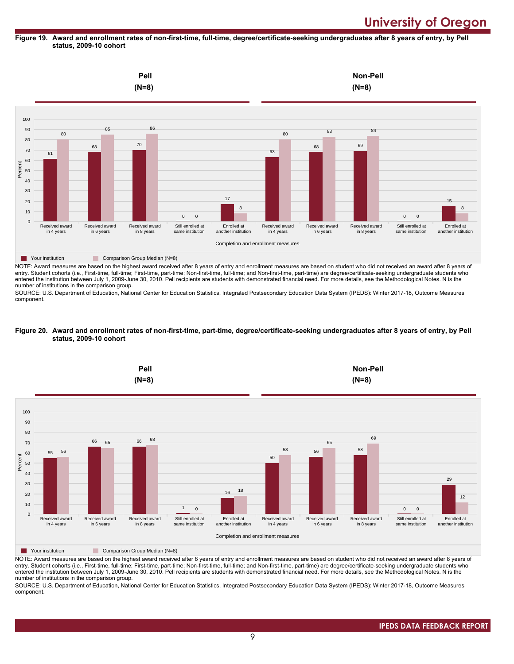#### **Figure 19. Award and enrollment rates of non-first-time, full-time, degree/certificate-seeking undergraduates after 8 years of entry, by Pell status, 2009-10 cohort**



entry. Student cohorts (i.e., First-time, full-time; First-time, part-time; Non-first-time, full-time; and Non-first-time, part-time) are degree/certificate-seeking undergraduate students who entered the institution between July 1, 2009-June 30, 2010. Pell recipients are students with demonstrated financial need. For more details, see the Methodological Notes. N is the number of institutions in the comparison group.

SOURCE: U.S. Department of Education, National Center for Education Statistics, Integrated Postsecondary Education Data System (IPEDS): Winter 2017-18, Outcome Measures component.

#### **Figure 20. Award and enrollment rates of non-first-time, part-time, degree/certificate-seeking undergraduates after 8 years of entry, by Pell status, 2009-10 cohort**



NOTE: Award measures are based on the highest award received after 8 years of entry and enrollment measures are based on student who did not received an award after 8 years of entry. Student cohorts (i.e., First-time, full-time; First-time, part-time; Non-first-time, full-time; and Non-first-time, part-time) are degree/certificate-seeking undergraduate students who entered the institution between July 1, 2009-June 30, 2010. Pell recipients are students with demonstrated financial need. For more details, see the Methodological Notes. N is the number of institutions in the comparison group.

SOURCE: U.S. Department of Education, National Center for Education Statistics, Integrated Postsecondary Education Data System (IPEDS): Winter 2017-18, Outcome Measures component.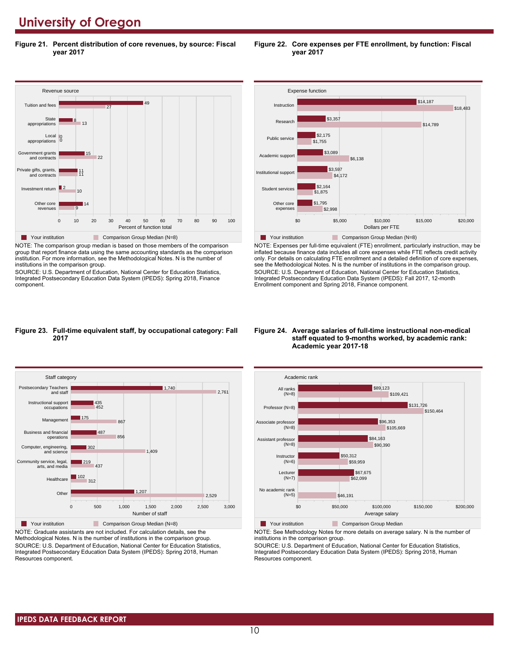**Figure 21. Percent distribution of core revenues, by source: Fiscal year 2017**



NOTE: The comparison group median is based on those members of the comparison group that report finance data using the same accounting standards as the comparison institution. For more information, see the Methodological Notes. N is the number of institutions in the comparison group.

SOURCE: U.S. Department of Education, National Center for Education Statistics, Integrated Postsecondary Education Data System (IPEDS): Spring 2018, Finance component.





NOTE: Expenses per full-time equivalent (FTE) enrollment, particularly instruction, may be inflated because finance data includes all core expenses while FTE reflects credit activity only. For details on calculating FTE enrollment and a detailed definition of core expenses, see the Methodological Notes. N is the number of institutions in the comparison group. SOURCE: U.S. Department of Education, National Center for Education Statistics, Integrated Postsecondary Education Data System (IPEDS): Fall 2017, 12-month Enrollment component and Spring 2018, Finance component.

#### **Figure 23. Full-time equivalent staff, by occupational category: Fall 2017**



NOTE: Graduate assistants are not included. For calculation details, see the Methodological Notes. N is the number of institutions in the comparison group. SOURCE: U.S. Department of Education, National Center for Education Statistics, Integrated Postsecondary Education Data System (IPEDS): Spring 2018, Human Resources component.

#### **Figure 24. Average salaries of full-time instructional non-medical staff equated to 9-months worked, by academic rank: Academic year 2017-18**



**The Your institution Comparison Group Median** 

NOTE: See Methodology Notes for more details on average salary. N is the number of institutions in the comparison group.

SOURCE: U.S. Department of Education, National Center for Education Statistics, Integrated Postsecondary Education Data System (IPEDS): Spring 2018, Human Resources component.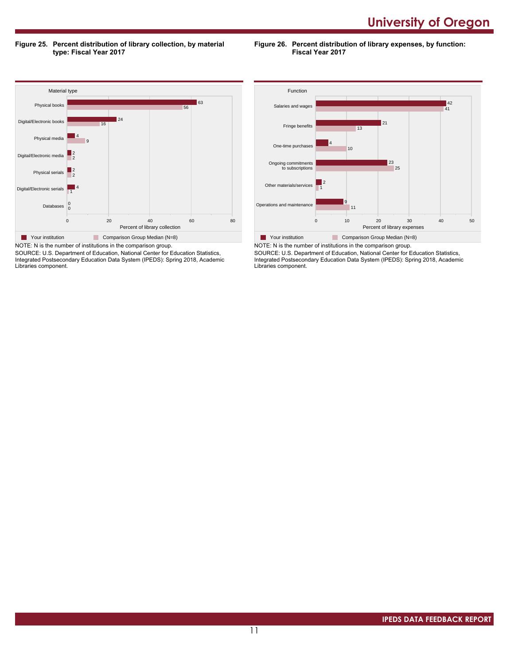**Figure 25. Percent distribution of library collection, by material type: Fiscal Year 2017**

**Figure 26. Percent distribution of library expenses, by function: Fiscal Year 2017**



SOURCE: U.S. Department of Education, National Center for Education Statistics, Integrated Postsecondary Education Data System (IPEDS): Spring 2018, Academic Libraries component.



SOURCE: U.S. Department of Education, National Center for Education Statistics, Integrated Postsecondary Education Data System (IPEDS): Spring 2018, Academic Libraries component.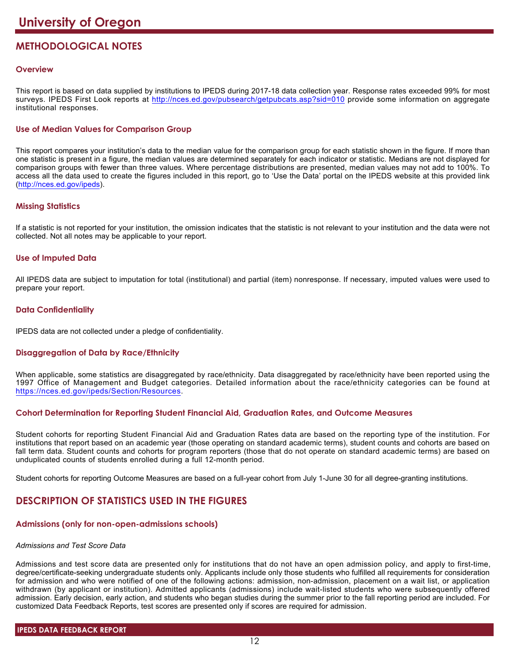# **METHODOLOGICAL NOTES**

# **Overview**

This report is based on data supplied by institutions to IPEDS during 2017-18 data collection year. Response rates exceeded 99% for most surveys. IPEDS First Look reports at <http://nces.ed.gov/pubsearch/getpubcats.asp?sid=010> provide some information on aggregate institutional responses.

# **Use of Median Values for Comparison Group**

This report compares your institution's data to the median value for the comparison group for each statistic shown in the figure. If more than one statistic is present in a figure, the median values are determined separately for each indicator or statistic. Medians are not displayed for comparison groups with fewer than three values. Where percentage distributions are presented, median values may not add to 100%. To access all the data used to create the figures included in this report, go to 'Use the Data' portal on the IPEDS website at this provided link (<http://nces.ed.gov/ipeds>).

# **Missing Statistics**

If a statistic is not reported for your institution, the omission indicates that the statistic is not relevant to your institution and the data were not collected. Not all notes may be applicable to your report.

# **Use of Imputed Data**

All IPEDS data are subject to imputation for total (institutional) and partial (item) nonresponse. If necessary, imputed values were used to prepare your report.

# **Data Confidentiality**

IPEDS data are not collected under a pledge of confidentiality.

# **Disaggregation of Data by Race/Ethnicity**

When applicable, some statistics are disaggregated by race/ethnicity. Data disaggregated by race/ethnicity have been reported using the 1997 Office of Management and Budget categories. Detailed information about the race/ethnicity categories can be found at <https://nces.ed.gov/ipeds/Section/Resources>.

# **Cohort Determination for Reporting Student Financial Aid, Graduation Rates, and Outcome Measures**

Student cohorts for reporting Student Financial Aid and Graduation Rates data are based on the reporting type of the institution. For institutions that report based on an academic year (those operating on standard academic terms), student counts and cohorts are based on fall term data. Student counts and cohorts for program reporters (those that do not operate on standard academic terms) are based on unduplicated counts of students enrolled during a full 12-month period.

Student cohorts for reporting Outcome Measures are based on a full-year cohort from July 1-June 30 for all degree-granting institutions.

# **DESCRIPTION OF STATISTICS USED IN THE FIGURES**

# **Admissions (only for non-open-admissions schools)**

#### *Admissions and Test Score Data*

Admissions and test score data are presented only for institutions that do not have an open admission policy, and apply to first-time, degree/certificate-seeking undergraduate students only. Applicants include only those students who fulfilled all requirements for consideration for admission and who were notified of one of the following actions: admission, non-admission, placement on a wait list, or application withdrawn (by applicant or institution). Admitted applicants (admissions) include wait-listed students who were subsequently offered admission. Early decision, early action, and students who began studies during the summer prior to the fall reporting period are included. For customized Data Feedback Reports, test scores are presented only if scores are required for admission.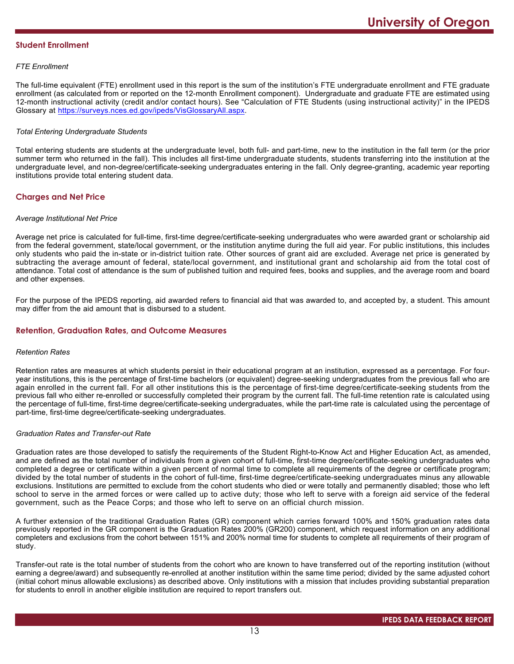### **Student Enrollment**

### *FTE Enrollment*

The full-time equivalent (FTE) enrollment used in this report is the sum of the institution's FTE undergraduate enrollment and FTE graduate enrollment (as calculated from or reported on the 12-month Enrollment component). Undergraduate and graduate FTE are estimated using 12-month instructional activity (credit and/or contact hours). See "Calculation of FTE Students (using instructional activity)" in the IPEDS Glossary at <https://surveys.nces.ed.gov/ipeds/VisGlossaryAll.aspx>.

### *Total Entering Undergraduate Students*

Total entering students are students at the undergraduate level, both full- and part-time, new to the institution in the fall term (or the prior summer term who returned in the fall). This includes all first-time undergraduate students, students transferring into the institution at the undergraduate level, and non-degree/certificate-seeking undergraduates entering in the fall. Only degree-granting, academic year reporting institutions provide total entering student data.

# **Charges and Net Price**

#### *Average Institutional Net Price*

Average net price is calculated for full-time, first-time degree/certificate-seeking undergraduates who were awarded grant or scholarship aid from the federal government, state/local government, or the institution anytime during the full aid year. For public institutions, this includes only students who paid the in-state or in-district tuition rate. Other sources of grant aid are excluded. Average net price is generated by subtracting the average amount of federal, state/local government, and institutional grant and scholarship aid from the total cost of attendance. Total cost of attendance is the sum of published tuition and required fees, books and supplies, and the average room and board and other expenses.

For the purpose of the IPEDS reporting, aid awarded refers to financial aid that was awarded to, and accepted by, a student. This amount may differ from the aid amount that is disbursed to a student.

# **Retention, Graduation Rates, and Outcome Measures**

#### *Retention Rates*

Retention rates are measures at which students persist in their educational program at an institution, expressed as a percentage. For fouryear institutions, this is the percentage of first-time bachelors (or equivalent) degree-seeking undergraduates from the previous fall who are again enrolled in the current fall. For all other institutions this is the percentage of first-time degree/certificate-seeking students from the previous fall who either re-enrolled or successfully completed their program by the current fall. The full-time retention rate is calculated using the percentage of full-time, first-time degree/certificate-seeking undergraduates, while the part-time rate is calculated using the percentage of part-time, first-time degree/certificate-seeking undergraduates.

### *Graduation Rates and Transfer-out Rate*

Graduation rates are those developed to satisfy the requirements of the Student Right-to-Know Act and Higher Education Act, as amended, and are defined as the total number of individuals from a given cohort of full-time, first-time degree/certificate-seeking undergraduates who completed a degree or certificate within a given percent of normal time to complete all requirements of the degree or certificate program; divided by the total number of students in the cohort of full-time, first-time degree/certificate-seeking undergraduates minus any allowable exclusions. Institutions are permitted to exclude from the cohort students who died or were totally and permanently disabled; those who left school to serve in the armed forces or were called up to active duty; those who left to serve with a foreign aid service of the federal government, such as the Peace Corps; and those who left to serve on an official church mission.

A further extension of the traditional Graduation Rates (GR) component which carries forward 100% and 150% graduation rates data previously reported in the GR component is the Graduation Rates 200% (GR200) component, which request information on any additional completers and exclusions from the cohort between 151% and 200% normal time for students to complete all requirements of their program of study.

Transfer-out rate is the total number of students from the cohort who are known to have transferred out of the reporting institution (without earning a degree/award) and subsequently re-enrolled at another institution within the same time period; divided by the same adjusted cohort (initial cohort minus allowable exclusions) as described above. Only institutions with a mission that includes providing substantial preparation for students to enroll in another eligible institution are required to report transfers out.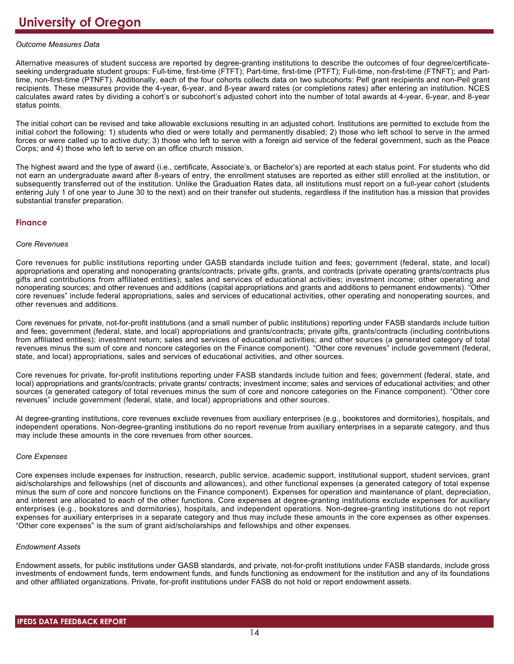### *Outcome Measures Data*

Alternative measures of student success are reported by degree-granting institutions to describe the outcomes of four degree/certificateseeking undergraduate student groups: Full-time, first-time (FTFT); Part-time, first-time (PTFT); Full-time, non-first-time (FTNFT); and Parttime, non-first-time (PTNFT). Additionally, each of the four cohorts collects data on two subcohorts: Pell grant recipients and non-Pell grant recipients. These measures provide the 4-year, 6-year, and 8-year award rates (or completions rates) after entering an institution. NCES calculates award rates by dividing a cohort's or subcohort's adjusted cohort into the number of total awards at 4-year, 6-year, and 8-year status points.

The initial cohort can be revised and take allowable exclusions resulting in an adjusted cohort. Institutions are permitted to exclude from the initial cohort the following: 1) students who died or were totally and permanently disabled; 2) those who left school to serve in the armed forces or were called up to active duty; 3) those who left to serve with a foreign aid service of the federal government, such as the Peace Corps; and 4) those who left to serve on an office church mission.

The highest award and the type of award (i.e., certificate, Associate's, or Bachelor's) are reported at each status point. For students who did not earn an undergraduate award after 8-years of entry, the enrollment statuses are reported as either still enrolled at the institution, or subsequently transferred out of the institution. Unlike the Graduation Rates data, all institutions must report on a full-year cohort (students entering July 1 of one year to June 30 to the next) and on their transfer out students, regardless if the institution has a mission that provides substantial transfer preparation.

### **Finance**

#### *Core Revenues*

Core revenues for public institutions reporting under GASB standards include tuition and fees; government (federal, state, and local) appropriations and operating and nonoperating grants/contracts; private gifts, grants, and contracts (private operating grants/contracts plus gifts and contributions from affiliated entities); sales and services of educational activities; investment income; other operating and nonoperating sources; and other revenues and additions (capital appropriations and grants and additions to permanent endowments). "Other core revenues" include federal appropriations, sales and services of educational activities, other operating and nonoperating sources, and other revenues and additions.

Core revenues for private, not-for-profit institutions (and a small number of public institutions) reporting under FASB standards include tuition and fees; government (federal, state, and local) appropriations and grants/contracts; private gifts, grants/contracts (including contributions from affiliated entities); investment return; sales and services of educational activities; and other sources (a generated category of total revenues minus the sum of core and noncore categories on the Finance component). "Other core revenues" include government (federal, state, and local) appropriations, sales and services of educational activities, and other sources.

Core revenues for private, for-profit institutions reporting under FASB standards include tuition and fees; government (federal, state, and local) appropriations and grants/contracts; private grants/ contracts; investment income; sales and services of educational activities; and other sources (a generated category of total revenues minus the sum of core and noncore categories on the Finance component). "Other core revenues" include government (federal, state, and local) appropriations and other sources.

At degree-granting institutions, core revenues exclude revenues from auxiliary enterprises (e.g., bookstores and dormitories), hospitals, and independent operations. Non-degree-granting institutions do no report revenue from auxiliary enterprises in a separate category, and thus may include these amounts in the core revenues from other sources.

#### *Core Expenses*

Core expenses include expenses for instruction, research, public service, academic support, institutional support, student services, grant aid/scholarships and fellowships (net of discounts and allowances), and other functional expenses (a generated category of total expense minus the sum of core and noncore functions on the Finance component). Expenses for operation and maintenance of plant, depreciation, and interest are allocated to each of the other functions. Core expenses at degree-granting institutions exclude expenses for auxiliary enterprises (e.g., bookstores and dormitories), hospitals, and independent operations. Non-degree-granting institutions do not report expenses for auxiliary enterprises in a separate category and thus may include these amounts in the core expenses as other expenses. "Other core expenses" is the sum of grant aid/scholarships and fellowships and other expenses.

#### *Endowment Assets*

Endowment assets, for public institutions under GASB standards, and private, not-for-profit institutions under FASB standards, include gross investments of endowment funds, term endowment funds, and funds functioning as endowment for the institution and any of its foundations and other affiliated organizations. Private, for-profit institutions under FASB do not hold or report endowment assets.